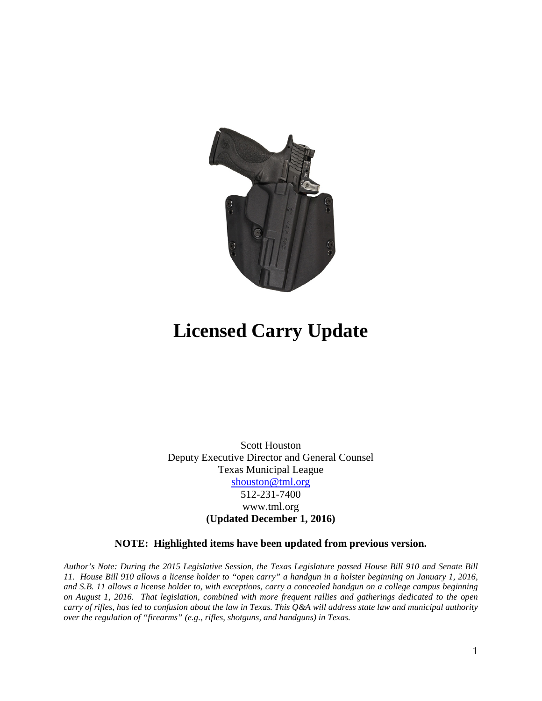

# **Licensed Carry Update**

Scott Houston Deputy Executive Director and General Counsel Texas Municipal League [shouston@tml.org](mailto:shouston@tml.org) 512-231-7400 www.tml.org **(Updated December 1, 2016)**

#### **NOTE: Highlighted items have been updated from previous version.**

*Author's Note: During the 2015 Legislative Session, the Texas Legislature passed House Bill 910 and Senate Bill 11. House Bill 910 allows a license holder to "open carry" a handgun in a holster beginning on January 1, 2016, and S.B. 11 allows a license holder to, with exceptions, carry a concealed handgun on a college campus beginning on August 1, 2016. That legislation, combined with more frequent rallies and gatherings dedicated to the open carry of rifles, has led to confusion about the law in Texas. This Q&A will address state law and municipal authority over the regulation of "firearms" (e.g., rifles, shotguns, and handguns) in Texas.*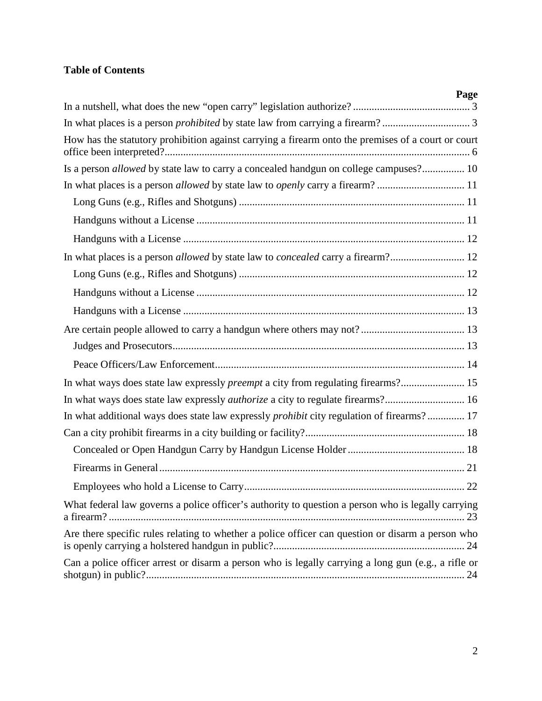# **Table of Contents**

| Page                                                                                                |
|-----------------------------------------------------------------------------------------------------|
|                                                                                                     |
|                                                                                                     |
| How has the statutory prohibition against carrying a firearm onto the premises of a court or court  |
| Is a person allowed by state law to carry a concealed handgun on college campuses? 10               |
|                                                                                                     |
|                                                                                                     |
|                                                                                                     |
|                                                                                                     |
| In what places is a person allowed by state law to concealed carry a firearm? 12                    |
|                                                                                                     |
|                                                                                                     |
|                                                                                                     |
|                                                                                                     |
|                                                                                                     |
|                                                                                                     |
| In what ways does state law expressly <i>preempt</i> a city from regulating firearms? 15            |
| In what ways does state law expressly <i>authorize</i> a city to regulate firearms? 16              |
| In what additional ways does state law expressly <i>prohibit</i> city regulation of firearms? 17    |
|                                                                                                     |
|                                                                                                     |
|                                                                                                     |
|                                                                                                     |
| What federal law governs a police officer's authority to question a person who is legally carrying  |
| Are there specific rules relating to whether a police officer can question or disarm a person who   |
| Can a police officer arrest or disarm a person who is legally carrying a long gun (e.g., a rifle or |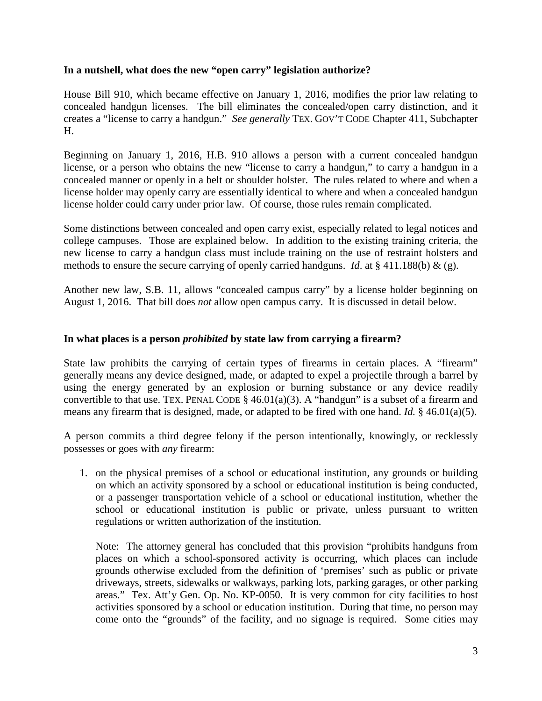#### <span id="page-2-0"></span>**In a nutshell, what does the new "open carry" legislation authorize?**

House Bill 910, which became effective on January 1, 2016, modifies the prior law relating to concealed handgun licenses. The bill eliminates the concealed/open carry distinction, and it creates a "license to carry a handgun." *See generally* TEX. GOV'T CODE Chapter 411, Subchapter H.

Beginning on January 1, 2016, H.B. 910 allows a person with a current concealed handgun license, or a person who obtains the new "license to carry a handgun," to carry a handgun in a concealed manner or openly in a belt or shoulder holster. The rules related to where and when a license holder may openly carry are essentially identical to where and when a concealed handgun license holder could carry under prior law. Of course, those rules remain complicated.

Some distinctions between concealed and open carry exist, especially related to legal notices and college campuses. Those are explained below. In addition to the existing training criteria, the new license to carry a handgun class must include training on the use of restraint holsters and methods to ensure the secure carrying of openly carried handguns. *Id*. at § 411.188(b) & (g).

Another new law, S.B. 11, allows "concealed campus carry" by a license holder beginning on August 1, 2016. That bill does *not* allow open campus carry. It is discussed in detail below.

#### <span id="page-2-1"></span>**In what places is a person** *prohibited* **by state law from carrying a firearm?**

State law prohibits the carrying of certain types of firearms in certain places. A "firearm" generally means any device designed, made, or adapted to expel a projectile through a barrel by using the energy generated by an explosion or burning substance or any device readily convertible to that use. TEX. PENAL CODE  $\S$  46.01(a)(3). A "handgun" is a subset of a firearm and means any firearm that is designed, made, or adapted to be fired with one hand. *Id.* § 46.01(a)(5).

A person commits a third degree felony if the person intentionally, knowingly, or recklessly possesses or goes with *any* firearm:

1. on the physical premises of a school or educational institution, any grounds or building on which an activity sponsored by a school or educational institution is being conducted, or a passenger transportation vehicle of a school or educational institution, whether the school or educational institution is public or private, unless pursuant to written regulations or written authorization of the institution.

Note: The attorney general has concluded that this provision "prohibits handguns from places on which a school-sponsored activity is occurring, which places can include grounds otherwise excluded from the definition of 'premises' such as public or private driveways, streets, sidewalks or walkways, parking lots, parking garages, or other parking areas." Tex. Att'y Gen. Op. No. KP-0050. It is very common for city facilities to host activities sponsored by a school or education institution. During that time, no person may come onto the "grounds" of the facility, and no signage is required. Some cities may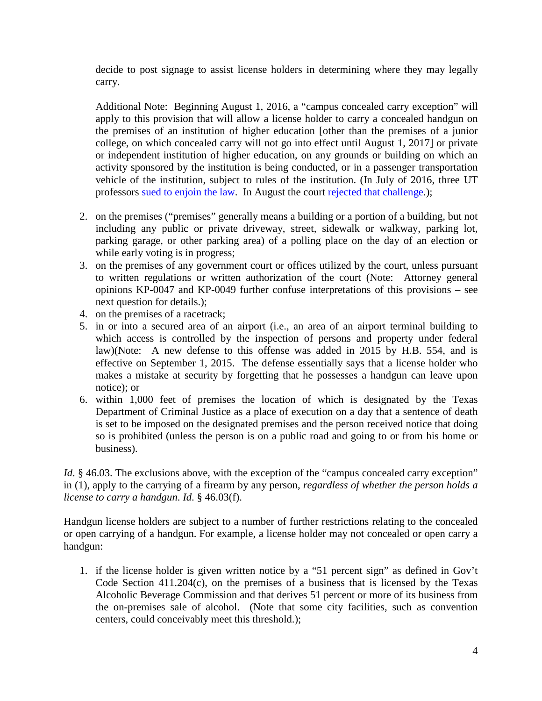decide to post signage to assist license holders in determining where they may legally carry.

Additional Note: Beginning August 1, 2016, a "campus concealed carry exception" will apply to this provision that will allow a license holder to carry a concealed handgun on the premises of an institution of higher education [other than the premises of a junior college, on which concealed carry will not go into effect until August 1, 2017] or private or independent institution of higher education, on any grounds or building on which an activity sponsored by the institution is being conducted, or in a passenger transportation vehicle of the institution, subject to rules of the institution. (In July of 2016, three UT professors [sued to enjoin the law.](http://trib.it/29zpmjO) In August the court [rejected that challenge.](file://TML-DC01/USERS/Scott/SNH/memos%20&%20papers%20&%20Q&As/q%20and%20as/firearms/2016%20continued%20updates/Order%20Denying%20MPI));

- 2. on the premises ("premises" generally means a building or a portion of a building, but not including any public or private driveway, street, sidewalk or walkway, parking lot, parking garage, or other parking area) of a polling place on the day of an election or while early voting is in progress;
- 3. on the premises of any government court or offices utilized by the court, unless pursuant to written regulations or written authorization of the court (Note: Attorney general opinions KP-0047 and KP-0049 further confuse interpretations of this provisions – see next question for details.);
- 4. on the premises of a racetrack;
- 5. in or into a secured area of an airport (i.e., an area of an airport terminal building to which access is controlled by the inspection of persons and property under federal law)(Note: A new defense to this offense was added in 2015 by H.B. 554, and is effective on September 1, 2015. The defense essentially says that a license holder who makes a mistake at security by forgetting that he possesses a handgun can leave upon notice); or
- 6. within 1,000 feet of premises the location of which is designated by the Texas Department of Criminal Justice as a place of execution on a day that a sentence of death is set to be imposed on the designated premises and the person received notice that doing so is prohibited (unless the person is on a public road and going to or from his home or business).

*Id.* § 46.03. The exclusions above, with the exception of the "campus concealed carry exception" in (1), apply to the carrying of a firearm by any person, *regardless of whether the person holds a license to carry a handgun*. *Id*. § 46.03(f).

Handgun license holders are subject to a number of further restrictions relating to the concealed or open carrying of a handgun. For example, a license holder may not concealed or open carry a handgun:

1. if the license holder is given written notice by a "51 percent sign" as defined in Gov't Code Section 411.204(c), on the premises of a business that is licensed by the Texas Alcoholic Beverage Commission and that derives 51 percent or more of its business from the on-premises sale of alcohol. (Note that some city facilities, such as convention centers, could conceivably meet this threshold.);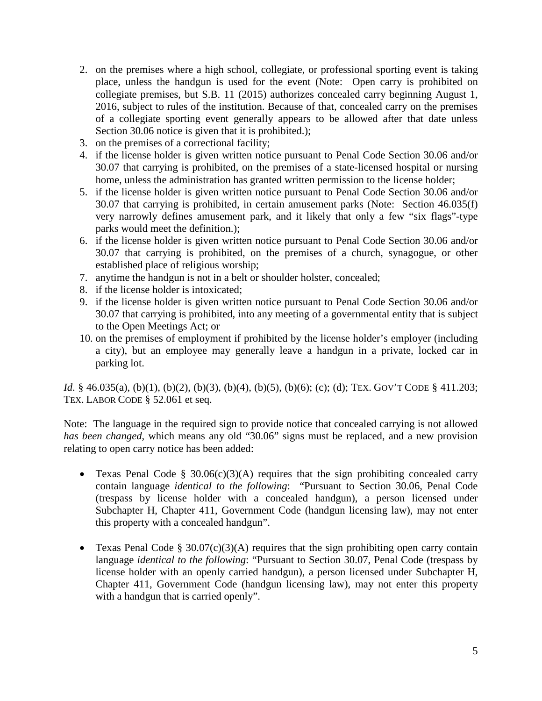- 2. on the premises where a high school, collegiate, or professional sporting event is taking place, unless the handgun is used for the event (Note: Open carry is prohibited on collegiate premises, but S.B. 11 (2015) authorizes concealed carry beginning August 1, 2016, subject to rules of the institution. Because of that, concealed carry on the premises of a collegiate sporting event generally appears to be allowed after that date unless Section 30.06 notice is given that it is prohibited.);
- 3. on the premises of a correctional facility;
- 4. if the license holder is given written notice pursuant to Penal Code Section 30.06 and/or 30.07 that carrying is prohibited, on the premises of a state-licensed hospital or nursing home, unless the administration has granted written permission to the license holder;
- 5. if the license holder is given written notice pursuant to Penal Code Section 30.06 and/or 30.07 that carrying is prohibited, in certain amusement parks (Note: Section 46.035(f) very narrowly defines amusement park, and it likely that only a few "six flags"-type parks would meet the definition.);
- 6. if the license holder is given written notice pursuant to Penal Code Section 30.06 and/or 30.07 that carrying is prohibited, on the premises of a church, synagogue, or other established place of religious worship;
- 7. anytime the handgun is not in a belt or shoulder holster, concealed;
- 8. if the license holder is intoxicated;
- 9. if the license holder is given written notice pursuant to Penal Code Section 30.06 and/or 30.07 that carrying is prohibited, into any meeting of a governmental entity that is subject to the Open Meetings Act; or
- 10. on the premises of employment if prohibited by the license holder's employer (including a city), but an employee may generally leave a handgun in a private, locked car in parking lot.

*Id*. § 46.035(a), (b)(1), (b)(2), (b)(3), (b)(4), (b)(5), (b)(6); (c); (d); TEX. GOV'T CODE § 411.203; TEX. LABOR CODE § 52.061 et seq.

Note: The language in the required sign to provide notice that concealed carrying is not allowed *has been changed*, which means any old "30.06" signs must be replaced, and a new provision relating to open carry notice has been added:

- Texas Penal Code § 30.06(c)(3)(A) requires that the sign prohibiting concealed carry contain language *identical to the following*: "Pursuant to Section 30.06, Penal Code (trespass by license holder with a concealed handgun), a person licensed under Subchapter H, Chapter 411, Government Code (handgun licensing law), may not enter this property with a concealed handgun".
- Texas Penal Code § 30.07(c)(3)(A) requires that the sign prohibiting open carry contain language *identical to the following*: "Pursuant to Section 30.07, Penal Code (trespass by license holder with an openly carried handgun), a person licensed under Subchapter H, Chapter 411, Government Code (handgun licensing law), may not enter this property with a handgun that is carried openly".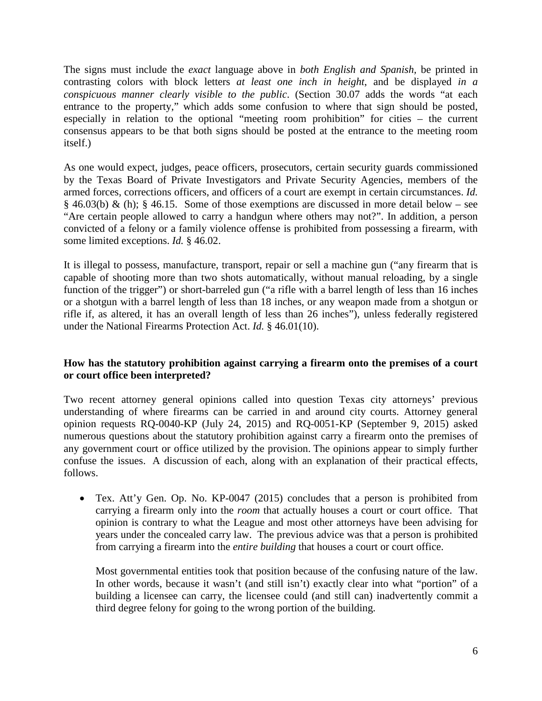The signs must include the *exact* language above in *both English and Spanish,* be printed in contrasting colors with block letters *at least one inch in height*, and be displayed *in a conspicuous manner clearly visible to the public*. (Section 30.07 adds the words "at each entrance to the property," which adds some confusion to where that sign should be posted, especially in relation to the optional "meeting room prohibition" for cities – the current consensus appears to be that both signs should be posted at the entrance to the meeting room itself.)

As one would expect, judges, peace officers, prosecutors, certain security guards commissioned by the Texas Board of Private Investigators and Private Security Agencies, members of the armed forces, corrections officers, and officers of a court are exempt in certain circumstances. *Id.* § 46.03(b) & (h); § 46.15. Some of those exemptions are discussed in more detail below – see "Are certain people allowed to carry a handgun where others may not?". In addition, a person convicted of a felony or a family violence offense is prohibited from possessing a firearm, with some limited exceptions. *Id.* § 46.02.

It is illegal to possess, manufacture, transport, repair or sell a machine gun ("any firearm that is capable of shooting more than two shots automatically, without manual reloading, by a single function of the trigger") or short-barreled gun ("a rifle with a barrel length of less than 16 inches or a shotgun with a barrel length of less than 18 inches, or any weapon made from a shotgun or rifle if, as altered, it has an overall length of less than 26 inches"), unless federally registered under the National Firearms Protection Act. *Id.* § 46.01(10).

# <span id="page-5-0"></span>**How has the statutory prohibition against carrying a firearm onto the premises of a court or court office been interpreted?**

Two recent attorney general opinions called into question Texas city attorneys' previous understanding of where firearms can be carried in and around city courts. Attorney general opinion requests RQ-0040-KP (July 24, 2015) and RQ-0051-KP (September 9, 2015) asked numerous questions about the statutory prohibition against carry a firearm onto the premises of any government court or office utilized by the provision. The opinions appear to simply further confuse the issues. A discussion of each, along with an explanation of their practical effects, follows.

• Tex. Att'y Gen. Op. No. KP-0047 (2015) concludes that a person is prohibited from carrying a firearm only into the *room* that actually houses a court or court office. That opinion is contrary to what the League and most other attorneys have been advising for years under the concealed carry law. The previous advice was that a person is prohibited from carrying a firearm into the *entire building* that houses a court or court office.

Most governmental entities took that position because of the confusing nature of the law. In other words, because it wasn't (and still isn't) exactly clear into what "portion" of a building a licensee can carry, the licensee could (and still can) inadvertently commit a third degree felony for going to the wrong portion of the building.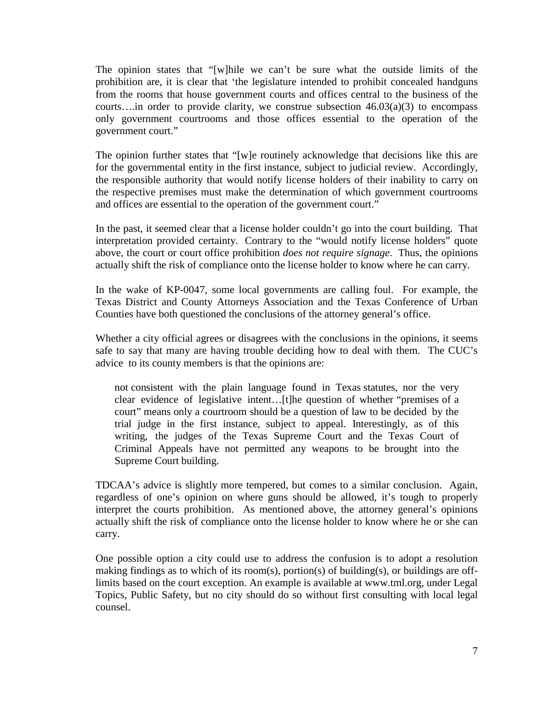The opinion states that "[w]hile we can't be sure what the outside limits of the prohibition are, it is clear that 'the legislature intended to prohibit concealed handguns from the rooms that house government courts and offices central to the business of the courts....in order to provide clarity, we construe subsection  $46.03(a)(3)$  to encompass only government courtrooms and those offices essential to the operation of the government court."

The opinion further states that "[w]e routinely acknowledge that decisions like this are for the governmental entity in the first instance, subject to judicial review. Accordingly, the responsible authority that would notify license holders of their inability to carry on the respective premises must make the determination of which government courtrooms and offices are essential to the operation of the government court."

In the past, it seemed clear that a license holder couldn't go into the court building. That interpretation provided certainty. Contrary to the "would notify license holders" quote above, the court or court office prohibition *does not require signage*. Thus, the opinions actually shift the risk of compliance onto the license holder to know where he can carry.

In the wake of KP-0047, some local governments are calling foul. For example, the Texas District and County Attorneys Association and the Texas Conference of Urban Counties have both questioned the conclusions of the attorney general's office.

Whether a city official agrees or disagrees with the conclusions in the opinions, it seems safe to say that many are having trouble deciding how to deal with them. The CUC's advice to its county members is that the opinions are:

not consistent with the plain language found in Texas statutes, nor the very clear evidence of legislative intent…[t]he question of whether "premises of a court" means only a courtroom should be a question of law to be decided by the trial judge in the first instance, subject to appeal. Interestingly, as of this writing, the judges of the Texas Supreme Court and the Texas Court of Criminal Appeals have not permitted any weapons to be brought into the Supreme Court building.

TDCAA's advice is slightly more tempered, but comes to a similar conclusion. Again, regardless of one's opinion on where guns should be allowed, it's tough to properly interpret the courts prohibition. As mentioned above, the attorney general's opinions actually shift the risk of compliance onto the license holder to know where he or she can carry.

One possible option a city could use to address the confusion is to adopt a resolution making findings as to which of its room(s), portion(s) of building(s), or buildings are offlimits based on the court exception. An example is available at www.tml.org, under Legal Topics, Public Safety, but no city should do so without first consulting with local legal counsel.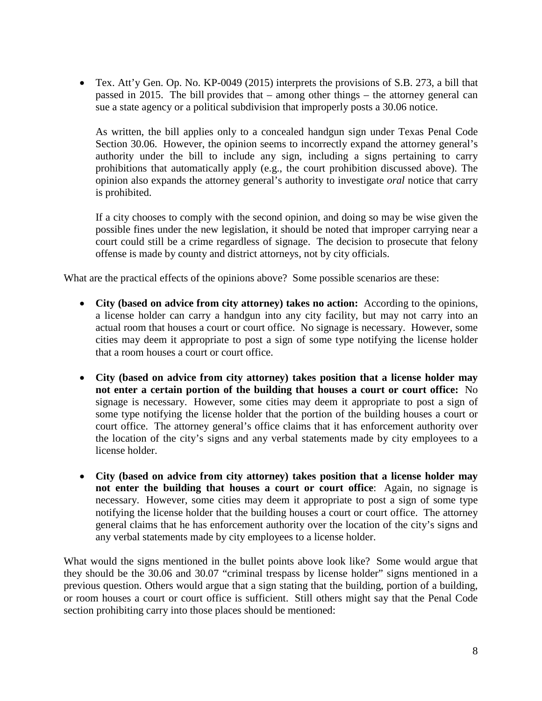• Tex. Att'y Gen. Op. No. KP-0049 (2015) interprets the provisions of S.B. 273, a bill that passed in 2015. The bill provides that – among other things – the attorney general can sue a state agency or a political subdivision that improperly posts a 30.06 notice.

As written, the bill applies only to a concealed handgun sign under Texas Penal Code Section 30.06. However, the opinion seems to incorrectly expand the attorney general's authority under the bill to include any sign, including a signs pertaining to carry prohibitions that automatically apply (e.g., the court prohibition discussed above). The opinion also expands the attorney general's authority to investigate *oral* notice that carry is prohibited.

If a city chooses to comply with the second opinion, and doing so may be wise given the possible fines under the new legislation, it should be noted that improper carrying near a court could still be a crime regardless of signage. The decision to prosecute that felony offense is made by county and district attorneys, not by city officials.

What are the practical effects of the opinions above? Some possible scenarios are these:

- **City (based on advice from city attorney) takes no action:** According to the opinions, a license holder can carry a handgun into any city facility, but may not carry into an actual room that houses a court or court office. No signage is necessary. However, some cities may deem it appropriate to post a sign of some type notifying the license holder that a room houses a court or court office.
- **City (based on advice from city attorney) takes position that a license holder may not enter a certain portion of the building that houses a court or court office:** No signage is necessary. However, some cities may deem it appropriate to post a sign of some type notifying the license holder that the portion of the building houses a court or court office. The attorney general's office claims that it has enforcement authority over the location of the city's signs and any verbal statements made by city employees to a license holder.
- **City (based on advice from city attorney) takes position that a license holder may not enter the building that houses a court or court office**: Again, no signage is necessary. However, some cities may deem it appropriate to post a sign of some type notifying the license holder that the building houses a court or court office. The attorney general claims that he has enforcement authority over the location of the city's signs and any verbal statements made by city employees to a license holder.

What would the signs mentioned in the bullet points above look like? Some would argue that they should be the 30.06 and 30.07 "criminal trespass by license holder" signs mentioned in a previous question. Others would argue that a sign stating that the building, portion of a building, or room houses a court or court office is sufficient. Still others might say that the Penal Code section prohibiting carry into those places should be mentioned: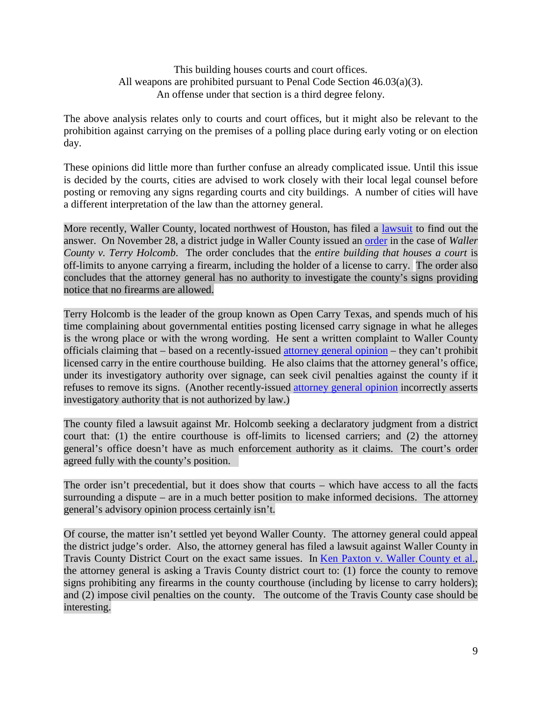This building houses courts and court offices. All weapons are prohibited pursuant to Penal Code Section 46.03(a)(3). An offense under that section is a third degree felony.

The above analysis relates only to courts and court offices, but it might also be relevant to the prohibition against carrying on the premises of a polling place during early voting or on election day.

These opinions did little more than further confuse an already complicated issue. Until this issue is decided by the courts, cities are advised to work closely with their local legal counsel before posting or removing any signs regarding courts and city buildings. A number of cities will have a different interpretation of the law than the attorney general.

More recently, Waller County, located northwest of Houston, has filed a [lawsuit](http://www.tml.org/p/Declaratory%20Judgment%20with%20Exhibit_Waller%20County%20v%20Terry%20Holcomb%20Sr.pdf) to find out the answer. On November 28, a district judge in Waller County issued an [order](http://www.tml.org/p/ORDER%20ON%20PLAINTIFF) in the case of *Waller County v. Terry Holcomb*. The order concludes that the *entire building that houses a court* is off-limits to anyone carrying a firearm, including the holder of a license to carry. The order also concludes that the attorney general has no authority to investigate the county's signs providing notice that no firearms are allowed.

Terry Holcomb is the leader of the group known as Open Carry Texas, and spends much of his time complaining about governmental entities posting licensed carry signage in what he alleges is the wrong place or with the wrong wording. He sent a written complaint to Waller County officials claiming that – based on a recently-issued [attorney general opinion](https://www.texasattorneygeneral.gov/opinions/opinions/51paxton/op/2015/kp0047.pdf) – they can't prohibit licensed carry in the entire courthouse building. He also claims that the attorney general's office, under its investigatory authority over signage, can seek civil penalties against the county if it refuses to remove its signs. (Another recently-issued [attorney general opinion](https://www.texasattorneygeneral.gov/opinions/opinions/51paxton/op/2015/kp0049.pdf) incorrectly asserts investigatory authority that is not authorized by law.)

The county filed a lawsuit against Mr. Holcomb seeking a declaratory judgment from a district court that: (1) the entire courthouse is off-limits to licensed carriers; and (2) the attorney general's office doesn't have as much enforcement authority as it claims. The court's order agreed fully with the county's position.

The order isn't precedential, but it does show that courts – which have access to all the facts surrounding a dispute – are in a much better position to make informed decisions. The attorney general's advisory opinion process certainly isn't.

Of course, the matter isn't settled yet beyond Waller County. The attorney general could appeal the district judge's order. Also, the attorney general has filed a lawsuit against Waller County in Travis County District Court on the exact same issues. In [Ken Paxton v. Waller County et al.,](https://www.texasattorneygeneral.gov/files/epress/8-30_Relator.Plaintiffs_Original_Petition_for_Writ_of_Mandamus_and_Civil_Penalties.pdf?cachebuster%3A29=&utm_content=&utm_medium=email&utm_name=&utm_source=govdelivery&utm_term=) the attorney general is asking a Travis County district court to: (1) force the county to remove signs prohibiting any firearms in the county courthouse (including by license to carry holders); and (2) impose civil penalties on the county. The outcome of the Travis County case should be interesting.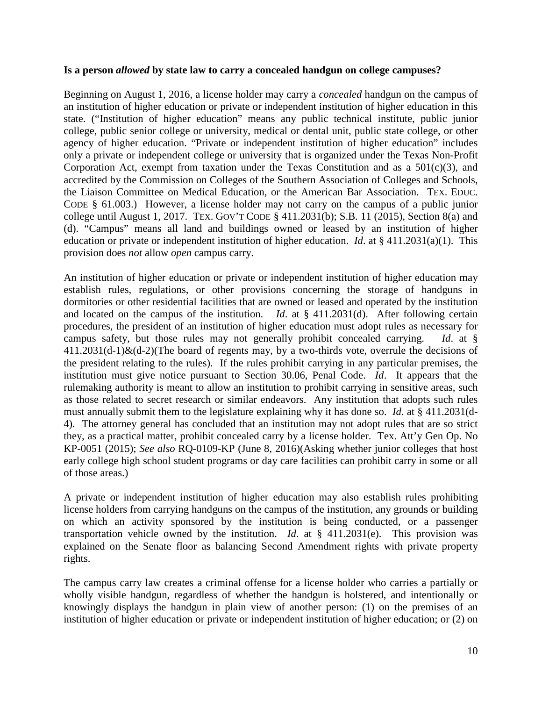#### <span id="page-9-0"></span>**Is a person** *allowed* **by state law to carry a concealed handgun on college campuses?**

Beginning on August 1, 2016, a license holder may carry a *concealed* handgun on the campus of an institution of higher education or private or independent institution of higher education in this state. ("Institution of higher education" means any public technical institute, public junior college, public senior college or university, medical or dental unit, public state college, or other agency of higher education. "Private or independent institution of higher education" includes only a private or independent college or university that is organized under the Texas Non-Profit Corporation Act, exempt from taxation under the Texas Constitution and as a  $501(c)(3)$ , and accredited by the Commission on Colleges of the Southern Association of Colleges and Schools, the Liaison Committee on Medical Education, or the American Bar Association. TEX. EDUC. CODE § 61.003.) However, a license holder may not carry on the campus of a public junior college until August 1, 2017. TEX. GOV'T CODE § 411.2031(b); S.B. 11 (2015), Section 8(a) and (d). "Campus" means all land and buildings owned or leased by an institution of higher education or private or independent institution of higher education. *Id*. at § 411.2031(a)(1). This provision does *not* allow *open* campus carry.

An institution of higher education or private or independent institution of higher education may establish rules, regulations, or other provisions concerning the storage of handguns in dormitories or other residential facilities that are owned or leased and operated by the institution and located on the campus of the institution. *Id*. at § 411.2031(d). After following certain procedures, the president of an institution of higher education must adopt rules as necessary for campus safety, but those rules may not generally prohibit concealed carrying. *Id*. at §  $411.2031(d-1)$ &(d-2)(The board of regents may, by a two-thirds vote, overrule the decisions of the president relating to the rules). If the rules prohibit carrying in any particular premises, the institution must give notice pursuant to Section 30.06, Penal Code. *Id*. It appears that the rulemaking authority is meant to allow an institution to prohibit carrying in sensitive areas, such as those related to secret research or similar endeavors. Any institution that adopts such rules must annually submit them to the legislature explaining why it has done so. *Id*. at § 411.2031(d-4). The attorney general has concluded that an institution may not adopt rules that are so strict they, as a practical matter, prohibit concealed carry by a license holder. Tex. Att'y Gen Op. No KP-0051 (2015); *See also* RQ-0109-KP (June 8, 2016)(Asking whether junior colleges that host early college high school student programs or day care facilities can prohibit carry in some or all of those areas.)

A private or independent institution of higher education may also establish rules prohibiting license holders from carrying handguns on the campus of the institution, any grounds or building on which an activity sponsored by the institution is being conducted, or a passenger transportation vehicle owned by the institution. *Id*. at § 411.2031(e). This provision was explained on the Senate floor as balancing Second Amendment rights with private property rights.

The campus carry law creates a criminal offense for a license holder who carries a partially or wholly visible handgun, regardless of whether the handgun is holstered, and intentionally or knowingly displays the handgun in plain view of another person: (1) on the premises of an institution of higher education or private or independent institution of higher education; or (2) on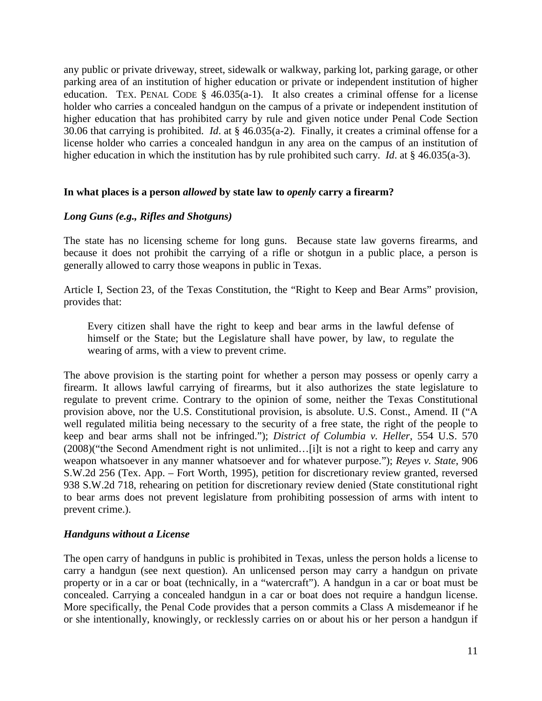any public or private driveway, street, sidewalk or walkway, parking lot, parking garage, or other parking area of an institution of higher education or private or independent institution of higher education. TEX. PENAL CODE  $\S$  46.035(a-1). It also creates a criminal offense for a license holder who carries a concealed handgun on the campus of a private or independent institution of higher education that has prohibited carry by rule and given notice under Penal Code Section 30.06 that carrying is prohibited. *Id*. at § 46.035(a-2). Finally, it creates a criminal offense for a license holder who carries a concealed handgun in any area on the campus of an institution of higher education in which the institution has by rule prohibited such carry. *Id*. at § 46.035(a-3).

#### <span id="page-10-0"></span>**In what places is a person** *allowed* **by state law to** *openly* **carry a firearm?**

#### <span id="page-10-1"></span>*Long Guns (e.g., Rifles and Shotguns)*

The state has no licensing scheme for long guns. Because state law governs firearms, and because it does not prohibit the carrying of a rifle or shotgun in a public place, a person is generally allowed to carry those weapons in public in Texas.

Article I, Section 23, of the Texas Constitution, the "Right to Keep and Bear Arms" provision, provides that:

Every citizen shall have the right to keep and bear arms in the lawful defense of himself or the State; but the Legislature shall have power, by law, to regulate the wearing of arms, with a view to prevent crime.

The above provision is the starting point for whether a person may possess or openly carry a firearm. It allows lawful carrying of firearms, but it also authorizes the state legislature to regulate to prevent crime. Contrary to the opinion of some, neither the Texas Constitutional provision above, nor the U.S. Constitutional provision, is absolute. U.S. Const., Amend. II ("A well regulated militia being necessary to the security of a free state, the right of the people to keep and bear arms shall not be infringed."); *District of Columbia v. Heller*, 554 U.S. 570 (2008)("the Second Amendment right is not unlimited…[i]t is not a right to keep and carry any weapon whatsoever in any manner whatsoever and for whatever purpose."); *Reyes v. State*, 906 S.W.2d 256 (Tex. App. – Fort Worth, 1995), petition for discretionary review granted, reversed 938 S.W.2d 718, rehearing on petition for discretionary review denied (State constitutional right to bear arms does not prevent legislature from prohibiting possession of arms with intent to prevent crime.).

#### <span id="page-10-2"></span>*Handguns without a License*

The open carry of handguns in public is prohibited in Texas, unless the person holds a license to carry a handgun (see next question). An unlicensed person may carry a handgun on private property or in a car or boat (technically, in a "watercraft"). A handgun in a car or boat must be concealed. Carrying a concealed handgun in a car or boat does not require a handgun license. More specifically, the Penal Code provides that a person commits a Class A misdemeanor if he or she intentionally, knowingly, or recklessly carries on or about his or her person a handgun if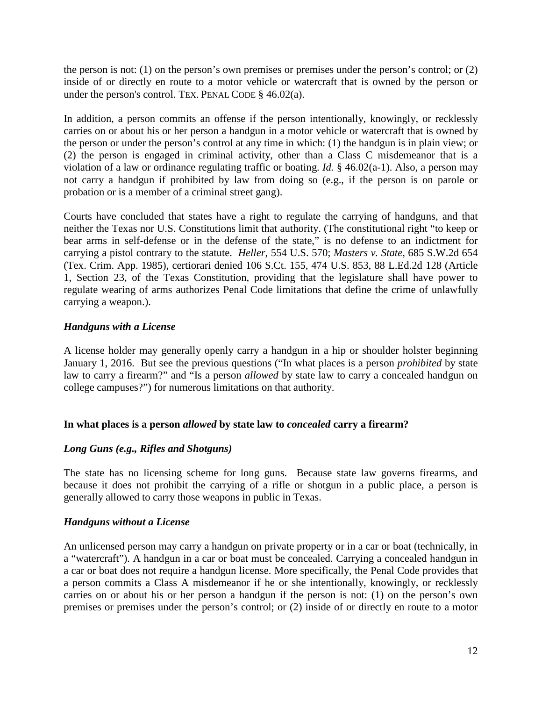the person is not: (1) on the person's own premises or premises under the person's control; or (2) inside of or directly en route to a motor vehicle or watercraft that is owned by the person or under the person's control. TEX. PENAL CODE § 46.02(a).

In addition, a person commits an offense if the person intentionally, knowingly, or recklessly carries on or about his or her person a handgun in a motor vehicle or watercraft that is owned by the person or under the person's control at any time in which: (1) the handgun is in plain view; or (2) the person is engaged in criminal activity, other than a Class C misdemeanor that is a violation of a law or ordinance regulating traffic or boating. *Id.* § 46.02(a-1). Also, a person may not carry a handgun if prohibited by law from doing so (e.g., if the person is on parole or probation or is a member of a criminal street gang).

Courts have concluded that states have a right to regulate the carrying of handguns, and that neither the Texas nor U.S. Constitutions limit that authority. (The constitutional right "to keep or bear arms in self-defense or in the defense of the state," is no defense to an indictment for carrying a pistol contrary to the statute. *Heller*, 554 U.S. 570; *Masters v. State,* 685 S.W.2d 654 (Tex. Crim. App. 1985), certiorari denied 106 S.Ct. 155, 474 U.S. 853, 88 L.Ed.2d 128 (Article 1, Section 23, of the Texas Constitution, providing that the legislature shall have power to regulate wearing of arms authorizes Penal Code limitations that define the crime of unlawfully carrying a weapon.).

# <span id="page-11-0"></span>*Handguns with a License*

A license holder may generally openly carry a handgun in a hip or shoulder holster beginning January 1, 2016. But see the previous questions ("In what places is a person *prohibited* by state law to carry a firearm?" and "Is a person *allowed* by state law to carry a concealed handgun on college campuses?") for numerous limitations on that authority.

# <span id="page-11-1"></span>**In what places is a person** *allowed* **by state law to** *concealed* **carry a firearm?**

# <span id="page-11-2"></span>*Long Guns (e.g., Rifles and Shotguns)*

The state has no licensing scheme for long guns. Because state law governs firearms, and because it does not prohibit the carrying of a rifle or shotgun in a public place, a person is generally allowed to carry those weapons in public in Texas.

#### <span id="page-11-3"></span>*Handguns without a License*

An unlicensed person may carry a handgun on private property or in a car or boat (technically, in a "watercraft"). A handgun in a car or boat must be concealed. Carrying a concealed handgun in a car or boat does not require a handgun license. More specifically, the Penal Code provides that a person commits a Class A misdemeanor if he or she intentionally, knowingly, or recklessly carries on or about his or her person a handgun if the person is not: (1) on the person's own premises or premises under the person's control; or (2) inside of or directly en route to a motor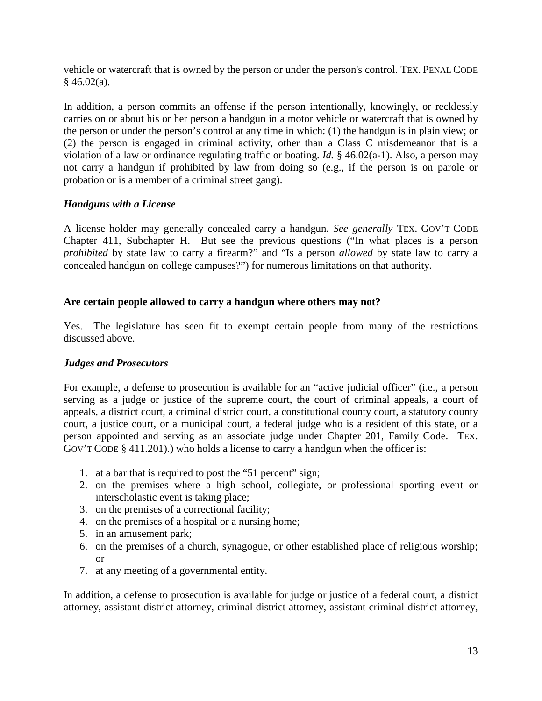vehicle or watercraft that is owned by the person or under the person's control. TEX. PENAL CODE  $§$  46.02(a).

In addition, a person commits an offense if the person intentionally, knowingly, or recklessly carries on or about his or her person a handgun in a motor vehicle or watercraft that is owned by the person or under the person's control at any time in which: (1) the handgun is in plain view; or (2) the person is engaged in criminal activity, other than a Class C misdemeanor that is a violation of a law or ordinance regulating traffic or boating. *Id.* § 46.02(a-1). Also, a person may not carry a handgun if prohibited by law from doing so (e.g., if the person is on parole or probation or is a member of a criminal street gang).

#### <span id="page-12-0"></span>*Handguns with a License*

A license holder may generally concealed carry a handgun. *See generally* TEX. GOV'T CODE Chapter 411, Subchapter H. But see the previous questions ("In what places is a person *prohibited* by state law to carry a firearm?" and "Is a person *allowed* by state law to carry a concealed handgun on college campuses?") for numerous limitations on that authority.

#### <span id="page-12-1"></span>**Are certain people allowed to carry a handgun where others may not?**

Yes. The legislature has seen fit to exempt certain people from many of the restrictions discussed above.

#### <span id="page-12-2"></span>*Judges and Prosecutors*

For example, a defense to prosecution is available for an "active judicial officer" (i.e., a person serving as a judge or justice of the supreme court, the court of criminal appeals, a court of appeals, a district court, a criminal district court, a constitutional county court, a statutory county court, a justice court, or a municipal court, a federal judge who is a resident of this state, or a person appointed and serving as an associate judge under Chapter 201, Family Code. TEX. GOV'T CODE § 411.201).) who holds a license to carry a handgun when the officer is:

- 1. at a bar that is required to post the "51 percent" sign;
- 2. on the premises where a high school, collegiate, or professional sporting event or interscholastic event is taking place;
- 3. on the premises of a correctional facility;
- 4. on the premises of a hospital or a nursing home;
- 5. in an amusement park;
- 6. on the premises of a church, synagogue, or other established place of religious worship; or
- 7. at any meeting of a governmental entity.

In addition, a defense to prosecution is available for judge or justice of a federal court, a district attorney, assistant district attorney, criminal district attorney, assistant criminal district attorney,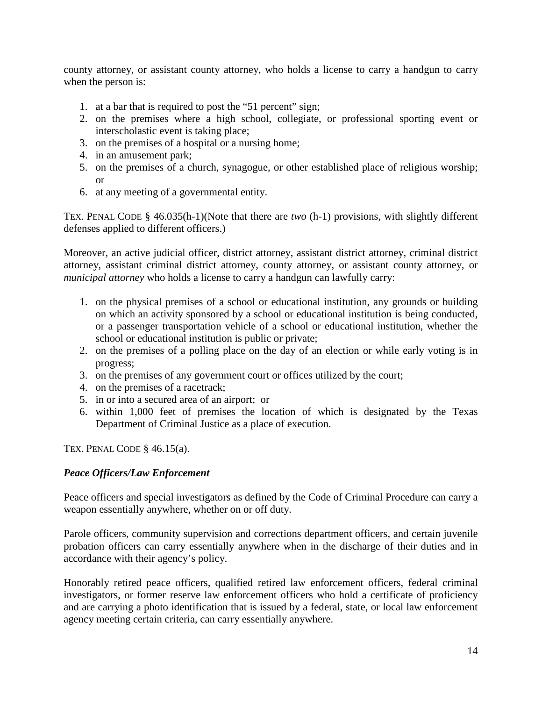county attorney, or assistant county attorney, who holds a license to carry a handgun to carry when the person is:

- 1. at a bar that is required to post the "51 percent" sign;
- 2. on the premises where a high school, collegiate, or professional sporting event or interscholastic event is taking place;
- 3. on the premises of a hospital or a nursing home;
- 4. in an amusement park;
- 5. on the premises of a church, synagogue, or other established place of religious worship; or
- 6. at any meeting of a governmental entity.

TEX. PENAL CODE § 46.035(h-1)(Note that there are *two* (h-1) provisions, with slightly different defenses applied to different officers.)

Moreover, an active judicial officer, district attorney, assistant district attorney, criminal district attorney, assistant criminal district attorney, county attorney, or assistant county attorney, or *municipal attorney* who holds a license to carry a handgun can lawfully carry:

- 1. on the physical premises of a school or educational institution, any grounds or building on which an activity sponsored by a school or educational institution is being conducted, or a passenger transportation vehicle of a school or educational institution, whether the school or educational institution is public or private;
- 2. on the premises of a polling place on the day of an election or while early voting is in progress;
- 3. on the premises of any government court or offices utilized by the court;
- 4. on the premises of a racetrack;
- 5. in or into a secured area of an airport; or
- 6. within 1,000 feet of premises the location of which is designated by the Texas Department of Criminal Justice as a place of execution.

TEX. PENAL CODE  $§$  46.15(a).

# <span id="page-13-0"></span>*Peace Officers/Law Enforcement*

Peace officers and special investigators as defined by the Code of Criminal Procedure can carry a weapon essentially anywhere, whether on or off duty.

Parole officers, community supervision and corrections department officers, and certain juvenile probation officers can carry essentially anywhere when in the discharge of their duties and in accordance with their agency's policy.

Honorably retired peace officers, qualified retired law enforcement officers, federal criminal investigators, or former reserve law enforcement officers who hold a certificate of proficiency and are carrying a photo identification that is issued by a federal, state, or local law enforcement agency meeting certain criteria, can carry essentially anywhere.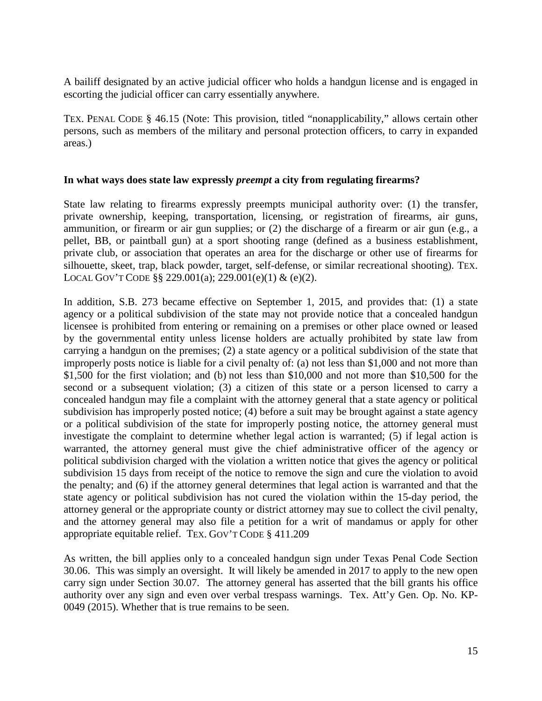A bailiff designated by an active judicial officer who holds a handgun license and is engaged in escorting the judicial officer can carry essentially anywhere.

TEX. PENAL CODE § 46.15 (Note: This provision, titled "nonapplicability," allows certain other persons, such as members of the military and personal protection officers, to carry in expanded areas.)

#### <span id="page-14-0"></span>**In what ways does state law expressly** *preempt* **a city from regulating firearms?**

State law relating to firearms expressly preempts municipal authority over: (1) the transfer, private ownership, keeping, transportation, licensing, or registration of firearms, air guns, ammunition, or firearm or air gun supplies; or (2) the discharge of a firearm or air gun (e.g., a pellet, BB, or paintball gun) at a sport shooting range (defined as a business establishment, private club, or association that operates an area for the discharge or other use of firearms for silhouette, skeet, trap, black powder, target, self-defense, or similar recreational shooting). TEX. LOCAL GOV'T CODE §§ 229.001(a); 229.001(e)(1) & (e)(2).

In addition, S.B. 273 became effective on September 1, 2015, and provides that: (1) a state agency or a political subdivision of the state may not provide notice that a concealed handgun licensee is prohibited from entering or remaining on a premises or other place owned or leased by the governmental entity unless license holders are actually prohibited by state law from carrying a handgun on the premises; (2) a state agency or a political subdivision of the state that improperly posts notice is liable for a civil penalty of: (a) not less than \$1,000 and not more than \$1,500 for the first violation; and (b) not less than \$10,000 and not more than \$10,500 for the second or a subsequent violation; (3) a citizen of this state or a person licensed to carry a concealed handgun may file a complaint with the attorney general that a state agency or political subdivision has improperly posted notice; (4) before a suit may be brought against a state agency or a political subdivision of the state for improperly posting notice, the attorney general must investigate the complaint to determine whether legal action is warranted; (5) if legal action is warranted, the attorney general must give the chief administrative officer of the agency or political subdivision charged with the violation a written notice that gives the agency or political subdivision 15 days from receipt of the notice to remove the sign and cure the violation to avoid the penalty; and (6) if the attorney general determines that legal action is warranted and that the state agency or political subdivision has not cured the violation within the 15-day period, the attorney general or the appropriate county or district attorney may sue to collect the civil penalty, and the attorney general may also file a petition for a writ of mandamus or apply for other appropriate equitable relief. TEX. GOV'T CODE § 411.209

As written, the bill applies only to a concealed handgun sign under Texas Penal Code Section 30.06. This was simply an oversight. It will likely be amended in 2017 to apply to the new open carry sign under Section 30.07. The attorney general has asserted that the bill grants his office authority over any sign and even over verbal trespass warnings. Tex. Att'y Gen. Op. No. KP-0049 (2015). Whether that is true remains to be seen.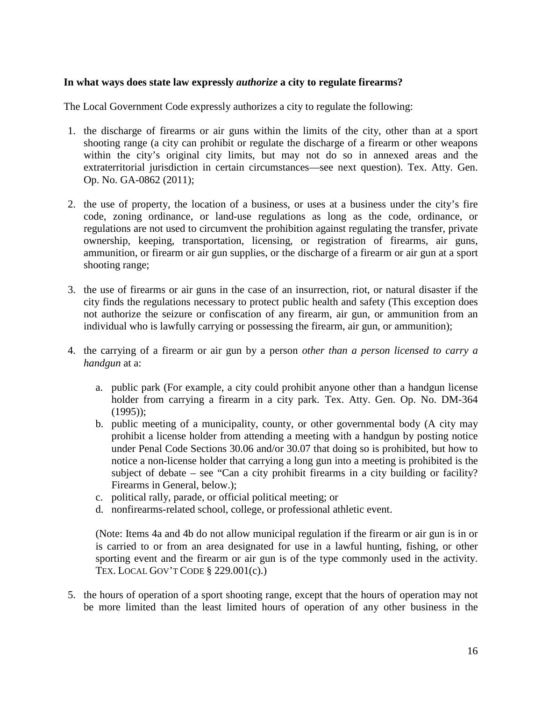#### <span id="page-15-0"></span>**In what ways does state law expressly** *authorize* **a city to regulate firearms?**

The Local Government Code expressly authorizes a city to regulate the following:

- 1. the discharge of firearms or air guns within the limits of the city, other than at a sport shooting range (a city can prohibit or regulate the discharge of a firearm or other weapons within the city's original city limits, but may not do so in annexed areas and the extraterritorial jurisdiction in certain circumstances—see next question). Tex. Atty. Gen. Op. No. GA-0862 (2011);
- 2. the use of property, the location of a business, or uses at a business under the city's fire code, zoning ordinance, or land-use regulations as long as the code, ordinance, or regulations are not used to circumvent the prohibition against regulating the transfer, private ownership, keeping, transportation, licensing, or registration of firearms, air guns, ammunition, or firearm or air gun supplies, or the discharge of a firearm or air gun at a sport shooting range;
- 3. the use of firearms or air guns in the case of an insurrection, riot, or natural disaster if the city finds the regulations necessary to protect public health and safety (This exception does not authorize the seizure or confiscation of any firearm, air gun, or ammunition from an individual who is lawfully carrying or possessing the firearm, air gun, or ammunition);
- 4. the carrying of a firearm or air gun by a person *other than a person licensed to carry a handgun* at a:
	- a. public park (For example, a city could prohibit anyone other than a handgun license holder from carrying a firearm in a city park. Tex. Atty. Gen. Op. No. DM-364 (1995));
	- b. public meeting of a municipality, county, or other governmental body (A city may prohibit a license holder from attending a meeting with a handgun by posting notice under Penal Code Sections 30.06 and/or 30.07 that doing so is prohibited, but how to notice a non-license holder that carrying a long gun into a meeting is prohibited is the subject of debate – see "Can a city prohibit firearms in a city building or facility? Firearms in General, below.);
	- c. political rally, parade, or official political meeting; or
	- d. nonfirearms-related school, college, or professional athletic event.

(Note: Items 4a and 4b do not allow municipal regulation if the firearm or air gun is in or is carried to or from an area designated for use in a lawful hunting, fishing, or other sporting event and the firearm or air gun is of the type commonly used in the activity. TEX. LOCAL GOV'T CODE § 229.001(c).)

5. the hours of operation of a sport shooting range, except that the hours of operation may not be more limited than the least limited hours of operation of any other business in the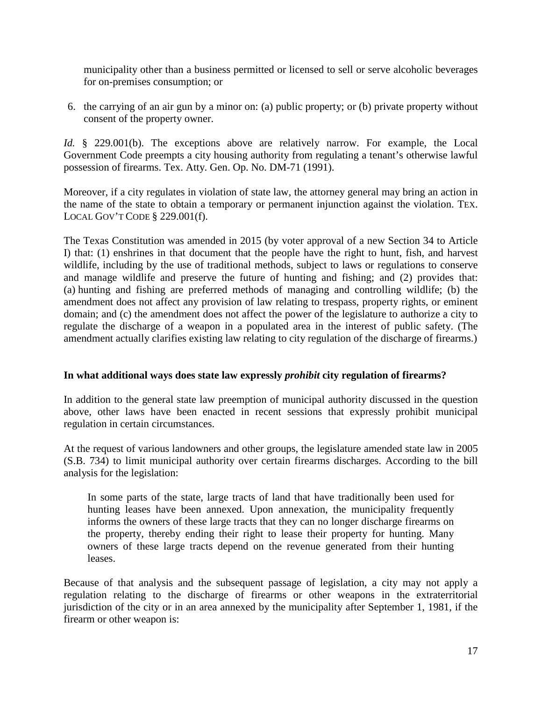municipality other than a business permitted or licensed to sell or serve alcoholic beverages for on-premises consumption; or

6. the carrying of an air gun by a minor on: (a) public property; or (b) private property without consent of the property owner.

*Id.* § 229.001(b). The exceptions above are relatively narrow. For example, the Local Government Code preempts a city housing authority from regulating a tenant's otherwise lawful possession of firearms. Tex. Atty. Gen. Op. No. DM-71 (1991).

Moreover, if a city regulates in violation of state law, the attorney general may bring an action in the name of the state to obtain a temporary or permanent injunction against the violation. TEX. LOCAL GOV'T CODE § 229.001(f).

The Texas Constitution was amended in 2015 (by voter approval of a new Section 34 to Article I) that: (1) enshrines in that document that the people have the right to hunt, fish, and harvest wildlife, including by the use of traditional methods, subject to laws or regulations to conserve and manage wildlife and preserve the future of hunting and fishing; and (2) provides that: (a) hunting and fishing are preferred methods of managing and controlling wildlife; (b) the amendment does not affect any provision of law relating to trespass, property rights, or eminent domain; and (c) the amendment does not affect the power of the legislature to authorize a city to regulate the discharge of a weapon in a populated area in the interest of public safety. (The amendment actually clarifies existing law relating to city regulation of the discharge of firearms.)

#### <span id="page-16-0"></span>**In what additional ways does state law expressly** *prohibit* **city regulation of firearms?**

In addition to the general state law preemption of municipal authority discussed in the question above, other laws have been enacted in recent sessions that expressly prohibit municipal regulation in certain circumstances.

At the request of various landowners and other groups, the legislature amended state law in 2005 (S.B. 734) to limit municipal authority over certain firearms discharges. According to the bill analysis for the legislation:

In some parts of the state, large tracts of land that have traditionally been used for hunting leases have been annexed. Upon annexation, the municipality frequently informs the owners of these large tracts that they can no longer discharge firearms on the property, thereby ending their right to lease their property for hunting. Many owners of these large tracts depend on the revenue generated from their hunting leases.

Because of that analysis and the subsequent passage of legislation, a city may not apply a regulation relating to the discharge of firearms or other weapons in the extraterritorial jurisdiction of the city or in an area annexed by the municipality after September 1, 1981, if the firearm or other weapon is: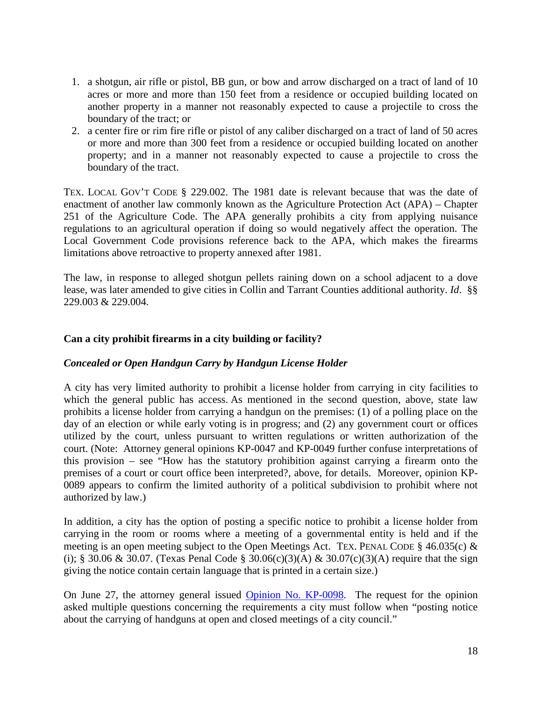- 1. a shotgun, air rifle or pistol, BB gun, or bow and arrow discharged on a tract of land of 10 acres or more and more than 150 feet from a residence or occupied building located on another property in a manner not reasonably expected to cause a projectile to cross the boundary of the tract; or
- 2. a center fire or rim fire rifle or pistol of any caliber discharged on a tract of land of 50 acres or more and more than 300 feet from a residence or occupied building located on another property; and in a manner not reasonably expected to cause a projectile to cross the boundary of the tract.

TEX. LOCAL GOV'T CODE § 229.002. The 1981 date is relevant because that was the date of enactment of another law commonly known as the Agriculture Protection Act (APA) – Chapter 251 of the Agriculture Code. The APA generally prohibits a city from applying nuisance regulations to an agricultural operation if doing so would negatively affect the operation. The Local Government Code provisions reference back to the APA, which makes the firearms limitations above retroactive to property annexed after 1981.

The law, in response to alleged shotgun pellets raining down on a school adjacent to a dove lease, was later amended to give cities in Collin and Tarrant Counties additional authority. *Id*. §§ 229.003 & 229.004.

# <span id="page-17-0"></span>**Can a city prohibit firearms in a city building or facility?**

# <span id="page-17-1"></span>*Concealed or Open Handgun Carry by Handgun License Holder*

A city has very limited authority to prohibit a license holder from carrying in city facilities to which the general public has access. As mentioned in the second question, above, state law prohibits a license holder from carrying a handgun on the premises: (1) of a polling place on the day of an election or while early voting is in progress; and (2) any government court or offices utilized by the court, unless pursuant to written regulations or written authorization of the court. (Note: Attorney general opinions KP-0047 and KP-0049 further confuse interpretations of this provision – see "How has the statutory prohibition against carrying a firearm onto the premises of a court or court office been interpreted?, above, for details. Moreover, opinion KP-0089 appears to confirm the limited authority of a political subdivision to prohibit where not authorized by law.)

In addition, a city has the option of posting a specific notice to prohibit a license holder from carrying in the room or rooms where a meeting of a governmental entity is held and if the meeting is an open meeting subject to the Open Meetings Act. TEX. PENAL CODE § 46.035(c) & (i); § 30.06 & 30.07. (Texas Penal Code § 30.06(c)(3)(A) & 30.07(c)(3)(A) require that the sign giving the notice contain certain language that is printed in a certain size.)

On June 27, the attorney general issued [Opinion No. KP-0098.](https://texasattorneygeneral.gov/opinions/opinions/51paxton/op/2016/kp0098.pdf) The request for the opinion asked multiple questions concerning the requirements a city must follow when "posting notice about the carrying of handguns at open and closed meetings of a city council."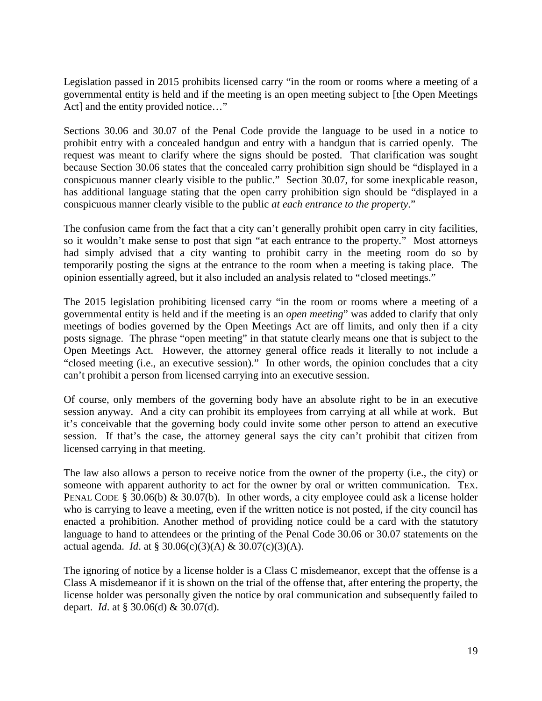Legislation passed in 2015 prohibits licensed carry "in the room or rooms where a meeting of a governmental entity is held and if the meeting is an open meeting subject to [the Open Meetings Act] and the entity provided notice..."

Sections 30.06 and 30.07 of the Penal Code provide the language to be used in a notice to prohibit entry with a concealed handgun and entry with a handgun that is carried openly. The request was meant to clarify where the signs should be posted. That clarification was sought because Section 30.06 states that the concealed carry prohibition sign should be "displayed in a conspicuous manner clearly visible to the public." Section 30.07, for some inexplicable reason, has additional language stating that the open carry prohibition sign should be "displayed in a conspicuous manner clearly visible to the public *at each entrance to the property*."

The confusion came from the fact that a city can't generally prohibit open carry in city facilities, so it wouldn't make sense to post that sign "at each entrance to the property." Most attorneys had simply advised that a city wanting to prohibit carry in the meeting room do so by temporarily posting the signs at the entrance to the room when a meeting is taking place. The opinion essentially agreed, but it also included an analysis related to "closed meetings."

The 2015 legislation prohibiting licensed carry "in the room or rooms where a meeting of a governmental entity is held and if the meeting is an *open meeting*" was added to clarify that only meetings of bodies governed by the Open Meetings Act are off limits, and only then if a city posts signage. The phrase "open meeting" in that statute clearly means one that is subject to the Open Meetings Act. However, the attorney general office reads it literally to not include a "closed meeting (i.e., an executive session)." In other words, the opinion concludes that a city can't prohibit a person from licensed carrying into an executive session.

Of course, only members of the governing body have an absolute right to be in an executive session anyway. And a city can prohibit its employees from carrying at all while at work. But it's conceivable that the governing body could invite some other person to attend an executive session. If that's the case, the attorney general says the city can't prohibit that citizen from licensed carrying in that meeting.

The law also allows a person to receive notice from the owner of the property (i.e., the city) or someone with apparent authority to act for the owner by oral or written communication. TEX. PENAL CODE § 30.06(b) & 30.07(b). In other words, a city employee could ask a license holder who is carrying to leave a meeting, even if the written notice is not posted, if the city council has enacted a prohibition. Another method of providing notice could be a card with the statutory language to hand to attendees or the printing of the Penal Code 30.06 or 30.07 statements on the actual agenda. *Id*. at § 30.06(c)(3)(A) & 30.07(c)(3)(A).

The ignoring of notice by a license holder is a Class C misdemeanor, except that the offense is a Class A misdemeanor if it is shown on the trial of the offense that, after entering the property, the license holder was personally given the notice by oral communication and subsequently failed to depart. *Id*. at § 30.06(d) & 30.07(d).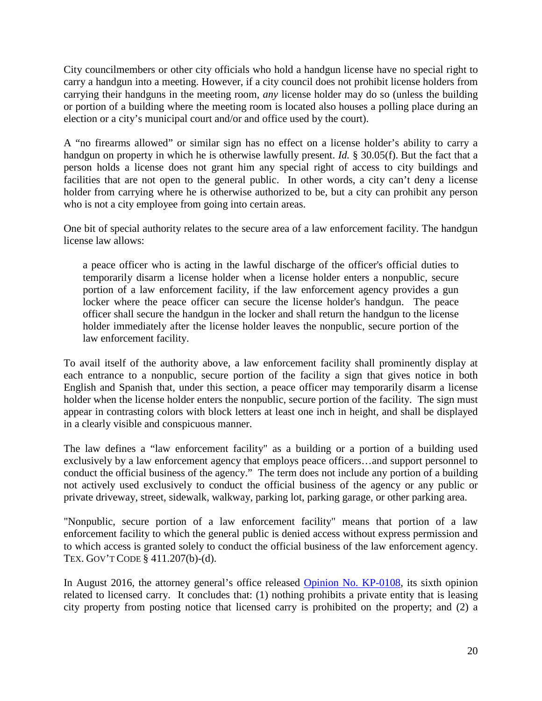City councilmembers or other city officials who hold a handgun license have no special right to carry a handgun into a meeting. However, if a city council does not prohibit license holders from carrying their handguns in the meeting room, *any* license holder may do so (unless the building or portion of a building where the meeting room is located also houses a polling place during an election or a city's municipal court and/or and office used by the court).

A "no firearms allowed" or similar sign has no effect on a license holder's ability to carry a handgun on property in which he is otherwise lawfully present. *Id.* § 30.05(f). But the fact that a person holds a license does not grant him any special right of access to city buildings and facilities that are not open to the general public. In other words, a city can't deny a license holder from carrying where he is otherwise authorized to be, but a city can prohibit any person who is not a city employee from going into certain areas.

One bit of special authority relates to the secure area of a law enforcement facility. The handgun license law allows:

a peace officer who is acting in the lawful discharge of the officer's official duties to temporarily disarm a license holder when a license holder enters a nonpublic, secure portion of a law enforcement facility, if the law enforcement agency provides a gun locker where the peace officer can secure the license holder's handgun. The peace officer shall secure the handgun in the locker and shall return the handgun to the license holder immediately after the license holder leaves the nonpublic, secure portion of the law enforcement facility.

To avail itself of the authority above, a law enforcement facility shall prominently display at each entrance to a nonpublic, secure portion of the facility a sign that gives notice in both English and Spanish that, under this section, a peace officer may temporarily disarm a license holder when the license holder enters the nonpublic, secure portion of the facility. The sign must appear in contrasting colors with block letters at least one inch in height, and shall be displayed in a clearly visible and conspicuous manner.

The law defines a "law enforcement facility" as a building or a portion of a building used exclusively by a law enforcement agency that employs peace officers…and support personnel to conduct the official business of the agency." The term does not include any portion of a building not actively used exclusively to conduct the official business of the agency or any public or private driveway, street, sidewalk, walkway, parking lot, parking garage, or other parking area.

"Nonpublic, secure portion of a law enforcement facility" means that portion of a law enforcement facility to which the general public is denied access without express permission and to which access is granted solely to conduct the official business of the law enforcement agency. TEX. GOV'T CODE § 411.207(b)-(d).

In August 2016, the attorney general's office released [Opinion No. KP-0108,](https://texasattorneygeneral.gov/opinions/opinions/51paxton/op/2016/kp0108.pdf) its sixth opinion related to licensed carry. It concludes that: (1) nothing prohibits a private entity that is leasing city property from posting notice that licensed carry is prohibited on the property; and (2) a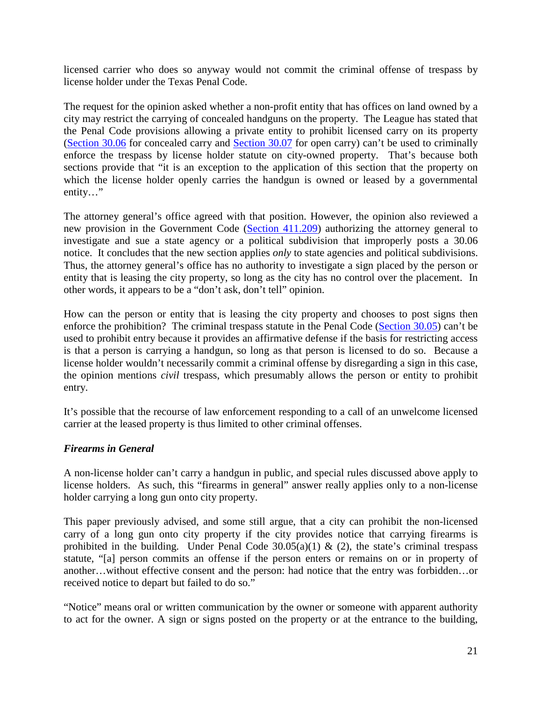licensed carrier who does so anyway would not commit the criminal offense of trespass by license holder under the Texas Penal Code.

The request for the opinion asked whether a non-profit entity that has offices on land owned by a city may restrict the carrying of concealed handguns on the property. The League has stated that the Penal Code provisions allowing a private entity to prohibit licensed carry on its property [\(Section 30.06](http://www.statutes.legis.state.tx.us/Docs/PE/htm/PE.30.htm#30.06) for concealed carry and [Section 30.07](http://www.statutes.legis.state.tx.us/Docs/PE/htm/PE.30.htm#30.07) for open carry) can't be used to criminally enforce the trespass by license holder statute on city-owned property. That's because both sections provide that "it is an exception to the application of this section that the property on which the license holder openly carries the handgun is owned or leased by a governmental entity…"

The attorney general's office agreed with that position. However, the opinion also reviewed a new provision in the Government Code [\(Section 411.209\)](http://www.statutes.legis.state.tx.us/Docs/GV/htm/GV.411.htm#411.209) authorizing the attorney general to investigate and sue a state agency or a political subdivision that improperly posts a 30.06 notice. It concludes that the new section applies *only* to state agencies and political subdivisions. Thus, the attorney general's office has no authority to investigate a sign placed by the person or entity that is leasing the city property, so long as the city has no control over the placement. In other words, it appears to be a "don't ask, don't tell" opinion.

How can the person or entity that is leasing the city property and chooses to post signs then enforce the prohibition? The criminal trespass statute in the Penal Code [\(Section 30.05\)](http://www.statutes.legis.state.tx.us/Docs/PE/htm/PE.30.htm#30.05) can't be used to prohibit entry because it provides an affirmative defense if the basis for restricting access is that a person is carrying a handgun, so long as that person is licensed to do so. Because a license holder wouldn't necessarily commit a criminal offense by disregarding a sign in this case, the opinion mentions *civil* trespass, which presumably allows the person or entity to prohibit entry.

It's possible that the recourse of law enforcement responding to a call of an unwelcome licensed carrier at the leased property is thus limited to other criminal offenses.

#### <span id="page-20-0"></span>*Firearms in General*

A non-license holder can't carry a handgun in public, and special rules discussed above apply to license holders. As such, this "firearms in general" answer really applies only to a non-license holder carrying a long gun onto city property.

This paper previously advised, and some still argue, that a city can prohibit the non-licensed carry of a long gun onto city property if the city provides notice that carrying firearms is prohibited in the building. Under Penal Code  $30.05(a)(1)$  & (2), the state's criminal trespass statute, "[a] person commits an offense if the person enters or remains on or in property of another…without effective consent and the person: had notice that the entry was forbidden…or received notice to depart but failed to do so."

"Notice" means oral or written communication by the owner or someone with apparent authority to act for the owner. A sign or signs posted on the property or at the entrance to the building,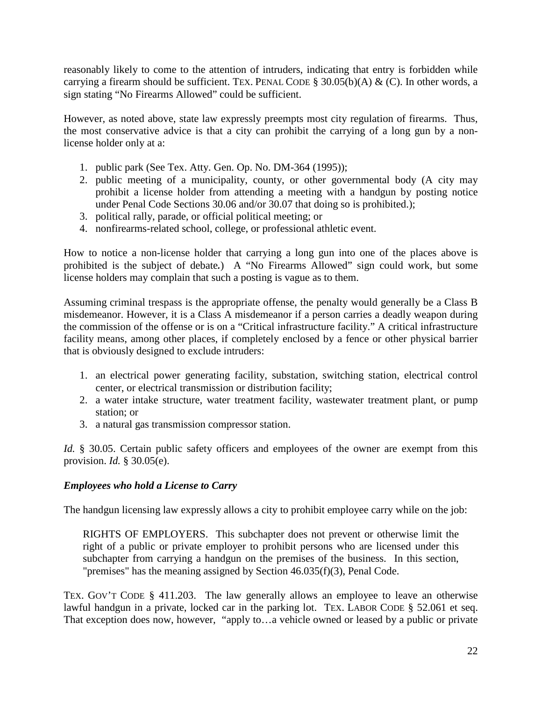reasonably likely to come to the attention of intruders, indicating that entry is forbidden while carrying a firearm should be sufficient. TEX. PENAL CODE § 30.05(b)(A) & (C). In other words, a sign stating "No Firearms Allowed" could be sufficient.

However, as noted above, state law expressly preempts most city regulation of firearms. Thus, the most conservative advice is that a city can prohibit the carrying of a long gun by a nonlicense holder only at a:

- 1. public park (See Tex. Atty. Gen. Op. No. DM-364 (1995));
- 2. public meeting of a municipality, county, or other governmental body (A city may prohibit a license holder from attending a meeting with a handgun by posting notice under Penal Code Sections 30.06 and/or 30.07 that doing so is prohibited.);
- 3. political rally, parade, or official political meeting; or
- 4. nonfirearms-related school, college, or professional athletic event.

How to notice a non-license holder that carrying a long gun into one of the places above is prohibited is the subject of debate*.*) A "No Firearms Allowed" sign could work, but some license holders may complain that such a posting is vague as to them.

Assuming criminal trespass is the appropriate offense, the penalty would generally be a Class B misdemeanor. However, it is a Class A misdemeanor if a person carries a deadly weapon during the commission of the offense or is on a "Critical infrastructure facility." A critical infrastructure facility means, among other places, if completely enclosed by a fence or other physical barrier that is obviously designed to exclude intruders:

- 1. an electrical power generating facility, substation, switching station, electrical control center, or electrical transmission or distribution facility;
- 2. a water intake structure, water treatment facility, wastewater treatment plant, or pump station; or
- 3. a natural gas transmission compressor station.

*Id.* § 30.05. Certain public safety officers and employees of the owner are exempt from this provision. *Id.* § 30.05(e).

# <span id="page-21-0"></span>*Employees who hold a License to Carry*

The handgun licensing law expressly allows a city to prohibit employee carry while on the job:

RIGHTS OF EMPLOYERS. This subchapter does not prevent or otherwise limit the right of a public or private employer to prohibit persons who are licensed under this subchapter from carrying a handgun on the premises of the business. In this section, "premises" has the meaning assigned by Section 46.035(f)(3), Penal Code.

TEX. GOV'T CODE § 411.203. The law generally allows an employee to leave an otherwise lawful handgun in a private, locked car in the parking lot. TEX. LABOR CODE § 52.061 et seq. That exception does now, however, "apply to…a vehicle owned or leased by a public or private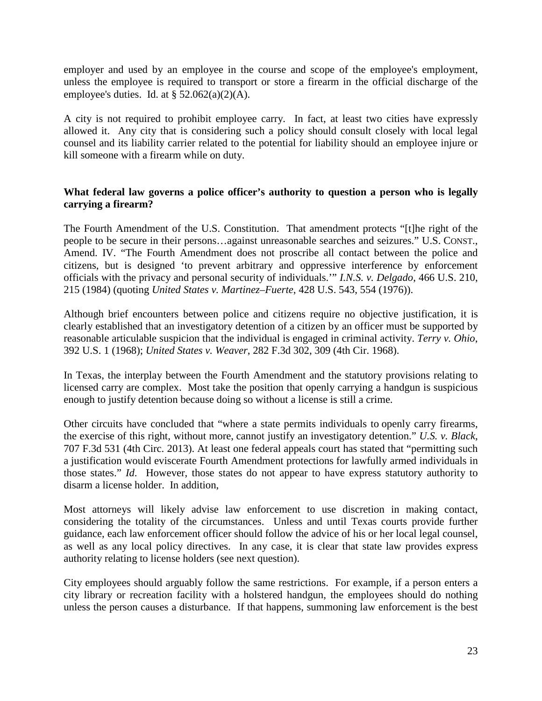employer and used by an employee in the course and scope of the employee's employment, unless the employee is required to transport or store a firearm in the official discharge of the employee's duties. Id. at  $\S$  52.062(a)(2)(A).

A city is not required to prohibit employee carry. In fact, at least two cities have expressly allowed it. Any city that is considering such a policy should consult closely with local legal counsel and its liability carrier related to the potential for liability should an employee injure or kill someone with a firearm while on duty.

### <span id="page-22-0"></span>**What federal law governs a police officer's authority to question a person who is legally carrying a firearm?**

The Fourth Amendment of the U.S. Constitution. That amendment protects "[t]he right of the people to be secure in their persons…against unreasonable searches and seizures." U.S. CONST., Amend. IV. "The Fourth Amendment does not proscribe all contact between the police and citizens, but is designed 'to prevent arbitrary and oppressive interference by enforcement officials with the privacy and personal security of individuals.'" *I.N.S. v. Delgado*, 466 U.S. 210, 215 (1984) (quoting *United States v. Martinez–Fuerte*, 428 U.S. 543, 554 (1976)).

Although brief encounters between police and citizens require no objective justification, it is clearly established that an investigatory detention of a citizen by an officer must be supported by reasonable articulable suspicion that the individual is engaged in criminal activity. *Terry v. Ohio*, 392 U.S. 1 (1968); *United States v. Weaver*, 282 F.3d 302, 309 (4th Cir. 1968).

In Texas, the interplay between the Fourth Amendment and the statutory provisions relating to licensed carry are complex. Most take the position that openly carrying a handgun is suspicious enough to justify detention because doing so without a license is still a crime.

Other circuits have concluded that "where a state permits individuals to openly carry firearms, the exercise of this right, without more, cannot justify an investigatory detention." *U.S. v. Black*, 707 F.3d 531 (4th Circ. 2013). At least one federal appeals court has stated that "permitting such a justification would eviscerate Fourth Amendment protections for lawfully armed individuals in those states." *Id*. However, those states do not appear to have express statutory authority to disarm a license holder. In addition,

Most attorneys will likely advise law enforcement to use discretion in making contact, considering the totality of the circumstances. Unless and until Texas courts provide further guidance, each law enforcement officer should follow the advice of his or her local legal counsel, as well as any local policy directives. In any case, it is clear that state law provides express authority relating to license holders (see next question).

City employees should arguably follow the same restrictions. For example, if a person enters a city library or recreation facility with a holstered handgun, the employees should do nothing unless the person causes a disturbance. If that happens, summoning law enforcement is the best